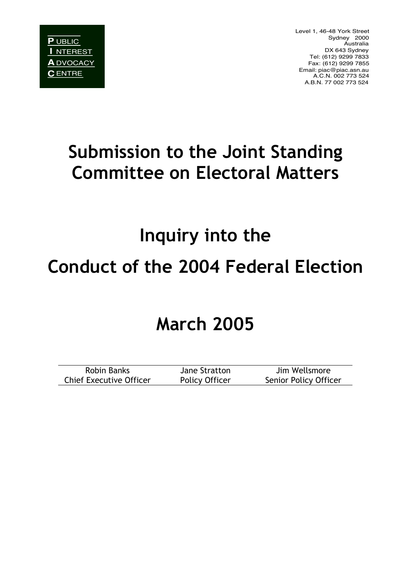Level 1, 46-48 York Street Sydney 2000 Australia DX 643 Sydney Tel: (612) 9299 7833 Fax: (612) 9299 7855 Email: piac@piac.asn.au A.C.N. 002 773 524 A.B.N. 77 002 773 524

# **Submission to the Joint Standing Committee on Electoral Matters**

# **Inquiry into the Conduct of the 2004 Federal Election**

## **March 2005**

| Robin Banks                    | Jane Stratton  | Jim Wellsmore         |
|--------------------------------|----------------|-----------------------|
| <b>Chief Executive Officer</b> | Policy Officer | Senior Policy Officer |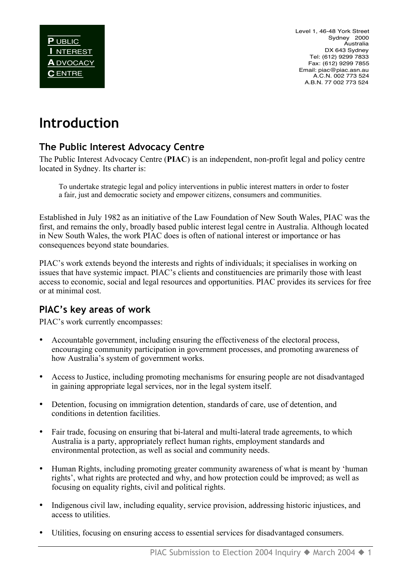Level 1, 46-48 York Street Sydney 2000 Australia DX 643 Sydney Tel: (612) 9299 7833 Fax: (612) 9299 7855 Email: piac@piac.asn.au A.C.N. 002 773 524 A.B.N. 77 002 773 524

### **Introduction**

#### **The Public Interest Advocacy Centre**

The Public Interest Advocacy Centre (**PIAC**) is an independent, non-profit legal and policy centre located in Sydney. Its charter is:

To undertake strategic legal and policy interventions in public interest matters in order to foster a fair, just and democratic society and empower citizens, consumers and communities.

Established in July 1982 as an initiative of the Law Foundation of New South Wales, PIAC was the first, and remains the only, broadly based public interest legal centre in Australia. Although located in New South Wales, the work PIAC does is often of national interest or importance or has consequences beyond state boundaries.

PIAC's work extends beyond the interests and rights of individuals; it specialises in working on issues that have systemic impact. PIAC's clients and constituencies are primarily those with least access to economic, social and legal resources and opportunities. PIAC provides its services for free or at minimal cost.

#### **PIAC's key areas of work**

PIAC's work currently encompasses:

- Accountable government, including ensuring the effectiveness of the electoral process, encouraging community participation in government processes, and promoting awareness of how Australia's system of government works.
- Access to Justice, including promoting mechanisms for ensuring people are not disadvantaged in gaining appropriate legal services, nor in the legal system itself.
- Detention, focusing on immigration detention, standards of care, use of detention, and conditions in detention facilities.
- Fair trade, focusing on ensuring that bi-lateral and multi-lateral trade agreements, to which Australia is a party, appropriately reflect human rights, employment standards and environmental protection, as well as social and community needs.
- Human Rights, including promoting greater community awareness of what is meant by 'human rights', what rights are protected and why, and how protection could be improved; as well as focusing on equality rights, civil and political rights.
- Indigenous civil law, including equality, service provision, addressing historic injustices, and access to utilities.
- Utilities, focusing on ensuring access to essential services for disadvantaged consumers.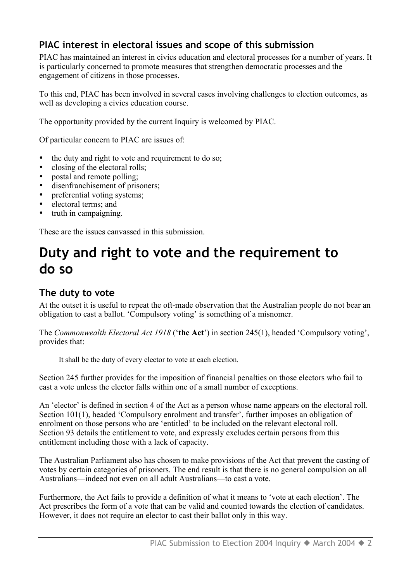#### **PIAC interest in electoral issues and scope of this submission**

PIAC has maintained an interest in civics education and electoral processes for a number of years. It is particularly concerned to promote measures that strengthen democratic processes and the engagement of citizens in those processes.

To this end, PIAC has been involved in several cases involving challenges to election outcomes, as well as developing a civics education course.

The opportunity provided by the current Inquiry is welcomed by PIAC.

Of particular concern to PIAC are issues of:

- the duty and right to vote and requirement to do so;
- closing of the electoral rolls;<br>• nostal and remote nolling:
- postal and remote polling;
- disenfranchisement of prisoners:
- preferential voting systems;
- electoral terms; and
- truth in campaigning.

These are the issues canvassed in this submission.

### **Duty and right to vote and the requirement to do so**

#### **The duty to vote**

At the outset it is useful to repeat the oft-made observation that the Australian people do not bear an obligation to cast a ballot. 'Compulsory voting' is something of a misnomer.

The *Commonwealth Electoral Act 1918* ('**the Act**') in section 245(1), headed 'Compulsory voting', provides that:

It shall be the duty of every elector to vote at each election.

Section 245 further provides for the imposition of financial penalties on those electors who fail to cast a vote unless the elector falls within one of a small number of exceptions.

An 'elector' is defined in section 4 of the Act as a person whose name appears on the electoral roll. Section 101(1), headed 'Compulsory enrolment and transfer', further imposes an obligation of enrolment on those persons who are 'entitled' to be included on the relevant electoral roll. Section 93 details the entitlement to vote, and expressly excludes certain persons from this entitlement including those with a lack of capacity.

The Australian Parliament also has chosen to make provisions of the Act that prevent the casting of votes by certain categories of prisoners. The end result is that there is no general compulsion on all Australians—indeed not even on all adult Australians—to cast a vote.

Furthermore, the Act fails to provide a definition of what it means to 'vote at each election'. The Act prescribes the form of a vote that can be valid and counted towards the election of candidates. However, it does not require an elector to cast their ballot only in this way.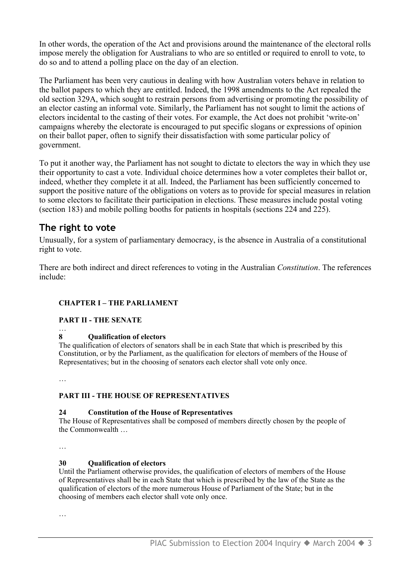In other words, the operation of the Act and provisions around the maintenance of the electoral rolls impose merely the obligation for Australians to who are so entitled or required to enroll to vote, to do so and to attend a polling place on the day of an election.

The Parliament has been very cautious in dealing with how Australian voters behave in relation to the ballot papers to which they are entitled. Indeed, the 1998 amendments to the Act repealed the old section 329A, which sought to restrain persons from advertising or promoting the possibility of an elector casting an informal vote. Similarly, the Parliament has not sought to limit the actions of electors incidental to the casting of their votes. For example, the Act does not prohibit 'write-on' campaigns whereby the electorate is encouraged to put specific slogans or expressions of opinion on their ballot paper, often to signify their dissatisfaction with some particular policy of government.

To put it another way, the Parliament has not sought to dictate to electors the way in which they use their opportunity to cast a vote. Individual choice determines how a voter completes their ballot or, indeed, whether they complete it at all. Indeed, the Parliament has been sufficiently concerned to support the positive nature of the obligations on voters as to provide for special measures in relation to some electors to facilitate their participation in elections. These measures include postal voting (section 183) and mobile polling booths for patients in hospitals (sections 224 and 225).

#### **The right to vote**

Unusually, for a system of parliamentary democracy, is the absence in Australia of a constitutional right to vote.

There are both indirect and direct references to voting in the Australian *Constitution*. The references include:

#### **CHAPTER I – THE PARLIAMENT**

**PART II - THE SENATE**

#### **8 Qualification of electors**

The qualification of electors of senators shall be in each State that which is prescribed by this Constitution, or by the Parliament, as the qualification for electors of members of the House of Representatives; but in the choosing of senators each elector shall vote only once.

…

…

#### **PART III - THE HOUSE OF REPRESENTATIVES**

#### **24 Constitution of the House of Representatives**

The House of Representatives shall be composed of members directly chosen by the people of the Commonwealth

…

#### **30 Qualification of electors**

Until the Parliament otherwise provides, the qualification of electors of members of the House of Representatives shall be in each State that which is prescribed by the law of the State as the qualification of electors of the more numerous House of Parliament of the State; but in the choosing of members each elector shall vote only once.

…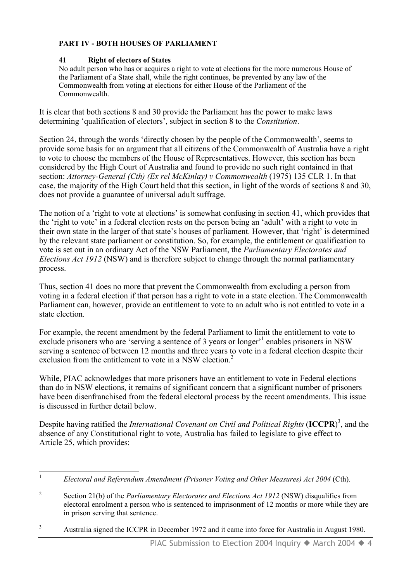#### **PART IV - BOTH HOUSES OF PARLIAMENT**

#### **41 Right of electors of States**

No adult person who has or acquires a right to vote at elections for the more numerous House of the Parliament of a State shall, while the right continues, be prevented by any law of the Commonwealth from voting at elections for either House of the Parliament of the Commonwealth.

It is clear that both sections 8 and 30 provide the Parliament has the power to make laws determining 'qualification of electors', subject in section 8 to the *Constitution*.

Section 24, through the words 'directly chosen by the people of the Commonwealth', seems to provide some basis for an argument that all citizens of the Commonwealth of Australia have a right to vote to choose the members of the House of Representatives. However, this section has been considered by the High Court of Australia and found to provide no such right contained in that section: *Attorney-General (Cth) (Ex rel McKinlay) v Commonwealth* (1975) 135 CLR 1. In that case, the majority of the High Court held that this section, in light of the words of sections 8 and 30, does not provide a guarantee of universal adult suffrage.

The notion of a 'right to vote at elections' is somewhat confusing in section 41, which provides that the 'right to vote' in a federal election rests on the person being an 'adult' with a right to vote in their own state in the larger of that state's houses of parliament. However, that 'right' is determined by the relevant state parliament or constitution. So, for example, the entitlement or qualification to vote is set out in an ordinary Act of the NSW Parliament, the *Parliamentary Electorates and Elections Act 1912* (NSW) and is therefore subject to change through the normal parliamentary process.

Thus, section 41 does no more that prevent the Commonwealth from excluding a person from voting in a federal election if that person has a right to vote in a state election. The Commonwealth Parliament can, however, provide an entitlement to vote to an adult who is not entitled to vote in a state election.

For example, the recent amendment by the federal Parliament to limit the entitlement to vote to exclude prisoners who are 'serving a sentence of 3 years or longer'<sup>1</sup> enables prisoners in NSW serving a sentence of between 12 months and three years to vote in a federal election despite their exclusion from the entitlement to vote in a NSW election.<sup>2</sup>

While, PIAC acknowledges that more prisoners have an entitlement to vote in Federal elections than do in NSW elections, it remains of significant concern that a significant number of prisoners have been disenfranchised from the federal electoral process by the recent amendments. This issue is discussed in further detail below.

Despite having ratified the *International Covenant on Civil and Political Rights* (**ICCPR**) 3 , and the absence of any Constitutional right to vote, Australia has failed to legislate to give effect to Article 25, which provides:

<sup>&</sup>lt;sup>1</sup> *Electoral and Referendum Amendment (Prisoner Voting and Other Measures) Act 2004 (Cth).* 

<sup>&</sup>lt;sup>2</sup> Section 21(b) of the *Parliamentary Electorates and Elections Act 1912* (NSW) disqualifies from electoral enrolment a person who is sentenced to imprisonment of 12 months or more while they are in prison serving that sentence.

<sup>&</sup>lt;sup>3</sup> Australia signed the ICCPR in December 1972 and it came into force for Australia in August 1980.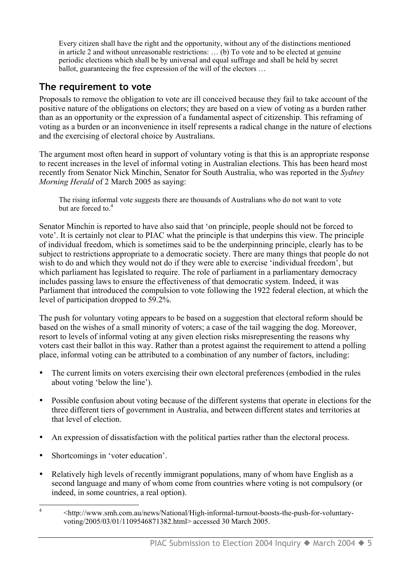Every citizen shall have the right and the opportunity, without any of the distinctions mentioned in article 2 and without unreasonable restrictions: … (b) To vote and to be elected at genuine periodic elections which shall be by universal and equal suffrage and shall be held by secret ballot, guaranteeing the free expression of the will of the electors ...

#### **The requirement to vote**

Proposals to remove the obligation to vote are ill conceived because they fail to take account of the positive nature of the obligations on electors; they are based on a view of voting as a burden rather than as an opportunity or the expression of a fundamental aspect of citizenship. This reframing of voting as a burden or an inconvenience in itself represents a radical change in the nature of elections and the exercising of electoral choice by Australians.

The argument most often heard in support of voluntary voting is that this is an appropriate response to recent increases in the level of informal voting in Australian elections. This has been heard most recently from Senator Nick Minchin, Senator for South Australia, who was reported in the *Sydney Morning Herald* of 2 March 2005 as saying:

The rising informal vote suggests there are thousands of Australians who do not want to vote but are forced to.<sup>4</sup>

Senator Minchin is reported to have also said that 'on principle, people should not be forced to vote'. It is certainly not clear to PIAC what the principle is that underpins this view. The principle of individual freedom, which is sometimes said to be the underpinning principle, clearly has to be subject to restrictions appropriate to a democratic society. There are many things that people do not wish to do and which they would not do if they were able to exercise 'individual freedom', but which parliament has legislated to require. The role of parliament in a parliamentary democracy includes passing laws to ensure the effectiveness of that democratic system. Indeed, it was Parliament that introduced the compulsion to vote following the 1922 federal election, at which the level of participation dropped to 59.2%.

The push for voluntary voting appears to be based on a suggestion that electoral reform should be based on the wishes of a small minority of voters; a case of the tail wagging the dog. Moreover, resort to levels of informal voting at any given election risks misrepresenting the reasons why voters cast their ballot in this way. Rather than a protest against the requirement to attend a polling place, informal voting can be attributed to a combination of any number of factors, including:

- The current limits on voters exercising their own electoral preferences (embodied in the rules about voting 'below the line').
- Possible confusion about voting because of the different systems that operate in elections for the three different tiers of government in Australia, and between different states and territories at that level of election.
- An expression of dissatisfaction with the political parties rather than the electoral process.
- Shortcomings in 'voter education'.
- Relatively high levels of recently immigrant populations, many of whom have English as a second language and many of whom come from countries where voting is not compulsory (or indeed, in some countries, a real option).
- 4 <http://www.smh.com.au/news/National/High-informal-turnout-boosts-the-push-for-voluntaryvoting/2005/03/01/1109546871382.html> accessed 30 March 2005.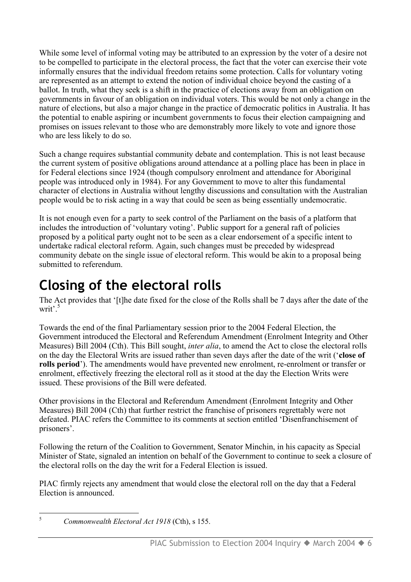While some level of informal voting may be attributed to an expression by the voter of a desire not to be compelled to participate in the electoral process, the fact that the voter can exercise their vote informally ensures that the individual freedom retains some protection. Calls for voluntary voting are represented as an attempt to extend the notion of individual choice beyond the casting of a ballot. In truth, what they seek is a shift in the practice of elections away from an obligation on governments in favour of an obligation on individual voters. This would be not only a change in the nature of elections, but also a major change in the practice of democratic politics in Australia. It has the potential to enable aspiring or incumbent governments to focus their election campaigning and promises on issues relevant to those who are demonstrably more likely to vote and ignore those who are less likely to do so.

Such a change requires substantial community debate and contemplation. This is not least because the current system of positive obligations around attendance at a polling place has been in place in for Federal elections since 1924 (though compulsory enrolment and attendance for Aboriginal people was introduced only in 1984). For any Government to move to alter this fundamental character of elections in Australia without lengthy discussions and consultation with the Australian people would be to risk acting in a way that could be seen as being essentially undemocratic.

It is not enough even for a party to seek control of the Parliament on the basis of a platform that includes the introduction of 'voluntary voting'. Public support for a general raft of policies proposed by a political party ought not to be seen as a clear endorsement of a specific intent to undertake radical electoral reform. Again, such changes must be preceded by widespread community debate on the single issue of electoral reform. This would be akin to a proposal being submitted to referendum.

### **Closing of the electoral rolls**

The Act provides that '[t]he date fixed for the close of the Rolls shall be 7 days after the date of the writ'.<sup>5</sup>

Towards the end of the final Parliamentary session prior to the 2004 Federal Election, the Government introduced the Electoral and Referendum Amendment (Enrolment Integrity and Other Measures) Bill 2004 (Cth). This Bill sought, *inter alia*, to amend the Act to close the electoral rolls on the day the Electoral Writs are issued rather than seven days after the date of the writ ('**close of rolls period**'). The amendments would have prevented new enrolment, re-enrolment or transfer or enrolment, effectively freezing the electoral roll as it stood at the day the Election Writs were issued. These provisions of the Bill were defeated.

Other provisions in the Electoral and Referendum Amendment (Enrolment Integrity and Other Measures) Bill 2004 (Cth) that further restrict the franchise of prisoners regrettably were not defeated. PIAC refers the Committee to its comments at section entitled 'Disenfranchisement of prisoners'.

Following the return of the Coalition to Government, Senator Minchin, in his capacity as Special Minister of State, signaled an intention on behalf of the Government to continue to seek a closure of the electoral rolls on the day the writ for a Federal Election is issued.

PIAC firmly rejects any amendment that would close the electoral roll on the day that a Federal Election is announced.

 <sup>5</sup> *Commonwealth Electoral Act <sup>1918</sup>* (Cth), s 155.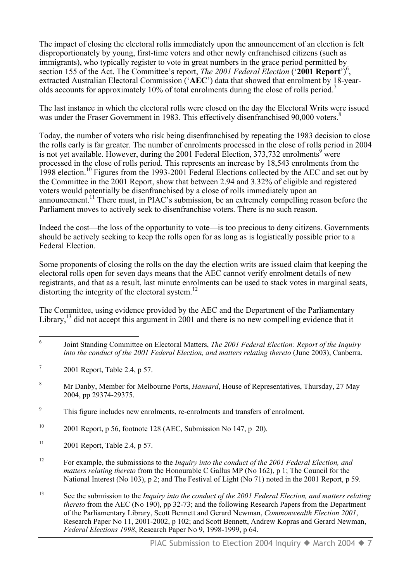The impact of closing the electoral rolls immediately upon the announcement of an election is felt disproportionately by young, first-time voters and other newly enfranchised citizens (such as immigrants), who typically register to vote in great numbers in the grace period permitted by section 155 of the Act. The Committee's report, *The 2001 Federal Election* ('2001 Report')<sup>6</sup>, extracted Australian Electoral Commission ('**AEC**') data that showed that enrolment by 18-yearolds accounts for approximately 10% of total enrolments during the close of rolls period.<sup>7</sup>

The last instance in which the electoral rolls were closed on the day the Electoral Writs were issued was under the Fraser Government in 1983. This effectively disenfranchised 90,000 voters.<sup>8</sup>

Today, the number of voters who risk being disenfranchised by repeating the 1983 decision to close the rolls early is far greater. The number of enrolments processed in the close of rolls period in 2004 is not yet available. However, during the 2001 Federal Election,  $373,732$  enrolments<sup>9</sup> were processed in the close of rolls period. This represents an increase by 18,543 enrolments from the 1998 election.10 Figures from the 1993-2001 Federal Elections collected by the AEC and set out by the Committee in the 2001 Report, show that between 2.94 and 3.32% of eligible and registered voters would potentially be disenfranchised by a close of rolls immediately upon an announcement.11 There must, in PIAC's submission, be an extremely compelling reason before the Parliament moves to actively seek to disenfranchise voters. There is no such reason.

Indeed the cost—the loss of the opportunity to vote—is too precious to deny citizens. Governments should be actively seeking to keep the rolls open for as long as is logistically possible prior to a Federal Election.

Some proponents of closing the rolls on the day the election writs are issued claim that keeping the electoral rolls open for seven days means that the AEC cannot verify enrolment details of new registrants, and that as a result, last minute enrolments can be used to stack votes in marginal seats, distorting the integrity of the electoral system. $^{12}$ 

The Committee, using evidence provided by the AEC and the Department of the Parliamentary Library,  $^{13}$  did not accept this argument in 2001 and there is no new compelling evidence that it

 <sup>6</sup> Joint Standing Committee on Electoral Matters, *The 2001 Federal Election: Report of the Inquiry into the conduct of the 2001 Federal Election, and matters relating thereto* (June 2003), Canberra.

 $7 \qquad 2001$  Report, Table 2.4, p 57.

<sup>8</sup> Mr Danby, Member for Melbourne Ports, *Hansard*, House of Representatives, Thursday, 27 May 2004, pp 29374-29375.

<sup>9</sup> This figure includes new enrolments, re-enrolments and transfers of enrolment.

<sup>&</sup>lt;sup>10</sup> 2001 Report, p 56, footnote 128 (AEC, Submission No 147, p 20).

 $11$  2001 Report, Table 2.4, p 57.

<sup>12</sup> For example, the submissions to the *Inquiry into the conduct of the 2001 Federal Election, and matters relating thereto* from the Honourable C Gallus MP (No 162), p 1; The Council for the National Interest (No 103), p 2; and The Festival of Light (No 71) noted in the 2001 Report, p 59.

<sup>13</sup> See the submission to the *Inquiry into the conduct of the 2001 Federal Election, and matters relating thereto* from the AEC (No 190), pp 32-73; and the following Research Papers from the Department of the Parliamentary Library, Scott Bennett and Gerard Newman, *Commonwealth Election 2001*, Research Paper No 11, 2001-2002, p 102; and Scott Bennett, Andrew Kopras and Gerard Newman, *Federal Elections 1998*, Research Paper No 9, 1998-1999, p 64.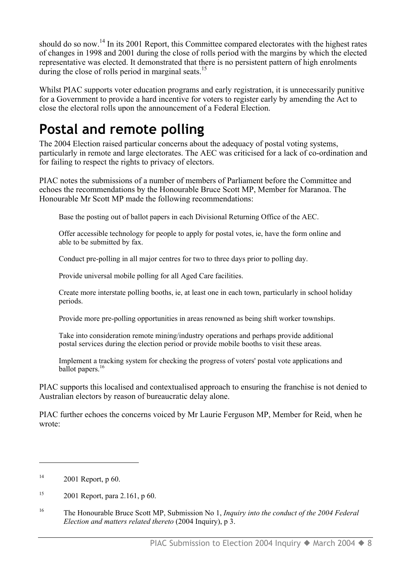should do so now.<sup>14</sup> In its 2001 Report, this Committee compared electorates with the highest rates of changes in 1998 and 2001 during the close of rolls period with the margins by which the elected representative was elected. It demonstrated that there is no persistent pattern of high enrolments during the close of rolls period in marginal seats.<sup>15</sup>

Whilst PIAC supports voter education programs and early registration, it is unnecessarily punitive for a Government to provide a hard incentive for voters to register early by amending the Act to close the electoral rolls upon the announcement of a Federal Election.

### **Postal and remote polling**

The 2004 Election raised particular concerns about the adequacy of postal voting systems, particularly in remote and large electorates. The AEC was criticised for a lack of co-ordination and for failing to respect the rights to privacy of electors.

PIAC notes the submissions of a number of members of Parliament before the Committee and echoes the recommendations by the Honourable Bruce Scott MP, Member for Maranoa. The Honourable Mr Scott MP made the following recommendations:

Base the posting out of ballot papers in each Divisional Returning Office of the AEC.

Offer accessible technology for people to apply for postal votes, ie, have the form online and able to be submitted by fax.

Conduct pre-polling in all major centres for two to three days prior to polling day.

Provide universal mobile polling for all Aged Care facilities.

Create more interstate polling booths, ie, at least one in each town, particularly in school holiday periods.

Provide more pre-polling opportunities in areas renowned as being shift worker townships.

Take into consideration remote mining/industry operations and perhaps provide additional postal services during the election period or provide mobile booths to visit these areas.

Implement a tracking system for checking the progress of voters' postal vote applications and ballot papers.<sup>16</sup>

PIAC supports this localised and contextualised approach to ensuring the franchise is not denied to Australian electors by reason of bureaucratic delay alone.

PIAC further echoes the concerns voiced by Mr Laurie Ferguson MP, Member for Reid, when he wrote:

 $\overline{a}$ 

 $14$  2001 Report, p 60.

<sup>&</sup>lt;sup>15</sup> 2001 Report, para 2.161, p 60.

<sup>16</sup> The Honourable Bruce Scott MP, Submission No 1, *Inquiry into the conduct of the 2004 Federal Election and matters related thereto* (2004 Inquiry), p 3.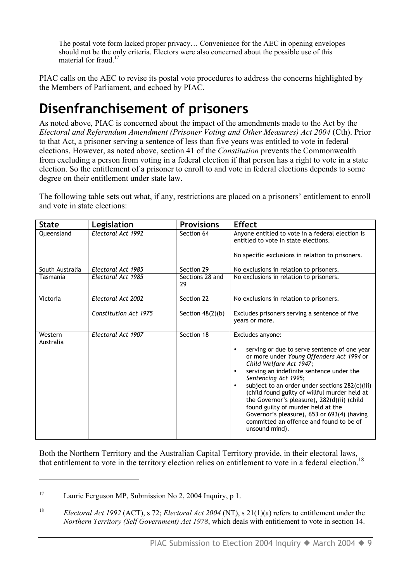The postal vote form lacked proper privacy… Convenience for the AEC in opening envelopes should not be the only criteria. Electors were also concerned about the possible use of this material for fraud<sup>17</sup>

PIAC calls on the AEC to revise its postal vote procedures to address the concerns highlighted by the Members of Parliament, and echoed by PIAC.

### **Disenfranchisement of prisoners**

As noted above, PIAC is concerned about the impact of the amendments made to the Act by the *Electoral and Referendum Amendment (Prisoner Voting and Other Measures) Act 2004* (Cth). Prior to that Act, a prisoner serving a sentence of less than five years was entitled to vote in federal elections. However, as noted above, section 41 of the *Constitution* prevents the Commonwealth from excluding a person from voting in a federal election if that person has a right to vote in a state election. So the entitlement of a prisoner to enroll to and vote in federal elections depends to some degree on their entitlement under state law.

The following table sets out what, if any, restrictions are placed on a prisoners' entitlement to enroll and vote in state elections:

| <b>State</b>         | Legislation           | <b>Provisions</b>     | <b>Effect</b>                                                                                                                                                                                                                                                                                                                                                                                                                                                                                                                                           |
|----------------------|-----------------------|-----------------------|---------------------------------------------------------------------------------------------------------------------------------------------------------------------------------------------------------------------------------------------------------------------------------------------------------------------------------------------------------------------------------------------------------------------------------------------------------------------------------------------------------------------------------------------------------|
| Oueensland           | Electoral Act 1992    | Section 64            | Anyone entitled to vote in a federal election is<br>entitled to vote in state elections.                                                                                                                                                                                                                                                                                                                                                                                                                                                                |
|                      |                       |                       | No specific exclusions in relation to prisoners.                                                                                                                                                                                                                                                                                                                                                                                                                                                                                                        |
| South Australia      | Electoral Act 1985    | Section 29            | No exclusions in relation to prisoners.                                                                                                                                                                                                                                                                                                                                                                                                                                                                                                                 |
| Tasmania             | Electoral Act 1985    | Sections 28 and<br>29 | No exclusions in relation to prisoners.                                                                                                                                                                                                                                                                                                                                                                                                                                                                                                                 |
| Victoria             | Electoral Act 2002    | Section 22            | No exclusions in relation to prisoners.                                                                                                                                                                                                                                                                                                                                                                                                                                                                                                                 |
|                      | Constitution Act 1975 | Section $48(2)(b)$    | Excludes prisoners serving a sentence of five<br>vears or more.                                                                                                                                                                                                                                                                                                                                                                                                                                                                                         |
| Western<br>Australia | Electoral Act 1907    | Section 18            | Excludes anyone:<br>serving or due to serve sentence of one year<br>$\bullet$<br>or more under Young Offenders Act 1994 or<br>Child Welfare Act 1947;<br>serving an indefinite sentence under the<br>$\bullet$<br>Sentencing Act 1995;<br>subject to an order under sections 282(c)(iii)<br>$\bullet$<br>(child found guilty of willful murder held at<br>the Governor's pleasure), 282(d)(ii) (child<br>found guilty of murder held at the<br>Governor's pleasure), 653 or 693(4) (having<br>committed an offence and found to be of<br>unsound mind). |

Both the Northern Territory and the Australian Capital Territory provide, in their electoral laws, that entitlement to vote in the territory election relies on entitlement to vote in a federal election.<sup>18</sup>

 $\overline{a}$ 

<sup>&</sup>lt;sup>17</sup> Laurie Ferguson MP, Submission No 2, 2004 Inquiry, p 1.

<sup>18</sup> *Electoral Act 1992* (ACT), s 72; *Electoral Act 2004* (NT), s 21(1)(a) refers to entitlement under the *Northern Territory (Self Government) Act 1978*, which deals with entitlement to vote in section 14.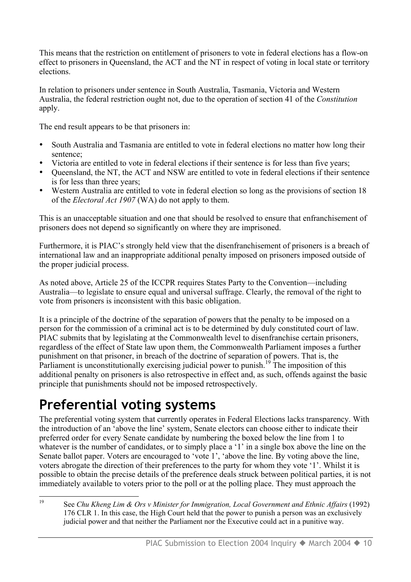This means that the restriction on entitlement of prisoners to vote in federal elections has a flow-on effect to prisoners in Queensland, the ACT and the NT in respect of voting in local state or territory elections.

In relation to prisoners under sentence in South Australia, Tasmania, Victoria and Western Australia, the federal restriction ought not, due to the operation of section 41 of the *Constitution* apply.

The end result appears to be that prisoners in:

- South Australia and Tasmania are entitled to vote in federal elections no matter how long their sentence;
- Victoria are entitled to vote in federal elections if their sentence is for less than five years;
- Queensland, the NT, the ACT and NSW are entitled to vote in federal elections if their sentence is for less than three years;
- Western Australia are entitled to vote in federal election so long as the provisions of section 18 of the *Electoral Act 1907* (WA) do not apply to them.

This is an unacceptable situation and one that should be resolved to ensure that enfranchisement of prisoners does not depend so significantly on where they are imprisoned.

Furthermore, it is PIAC's strongly held view that the disenfranchisement of prisoners is a breach of international law and an inappropriate additional penalty imposed on prisoners imposed outside of the proper judicial process.

As noted above, Article 25 of the ICCPR requires States Party to the Convention—including Australia—to legislate to ensure equal and universal suffrage. Clearly, the removal of the right to vote from prisoners is inconsistent with this basic obligation.

It is a principle of the doctrine of the separation of powers that the penalty to be imposed on a person for the commission of a criminal act is to be determined by duly constituted court of law. PIAC submits that by legislating at the Commonwealth level to disenfranchise certain prisoners, regardless of the effect of State law upon them, the Commonwealth Parliament imposes a further punishment on that prisoner, in breach of the doctrine of separation of powers. That is, the Parliament is unconstitutionally exercising judicial power to punish.<sup>19</sup> The imposition of this additional penalty on prisoners is also retrospective in effect and, as such, offends against the basic principle that punishments should not be imposed retrospectively.

### **Preferential voting systems**

The preferential voting system that currently operates in Federal Elections lacks transparency. With the introduction of an 'above the line' system, Senate electors can choose either to indicate their preferred order for every Senate candidate by numbering the boxed below the line from 1 to whatever is the number of candidates, or to simply place a '1' in a single box above the line on the Senate ballot paper. Voters are encouraged to 'vote 1', 'above the line. By voting above the line, voters abrogate the direction of their preferences to the party for whom they vote '1'. Whilst it is possible to obtain the precise details of the preference deals struck between political parties, it is not immediately available to voters prior to the poll or at the polling place. They must approach the

 <sup>19</sup> See *Chu Kheng Lim & Ors v Minister for Immigration, Local Government and Ethnic Affairs* (1992) 176 CLR 1. In this case, the High Court held that the power to punish a person was an exclusively judicial power and that neither the Parliament nor the Executive could act in a punitive way.